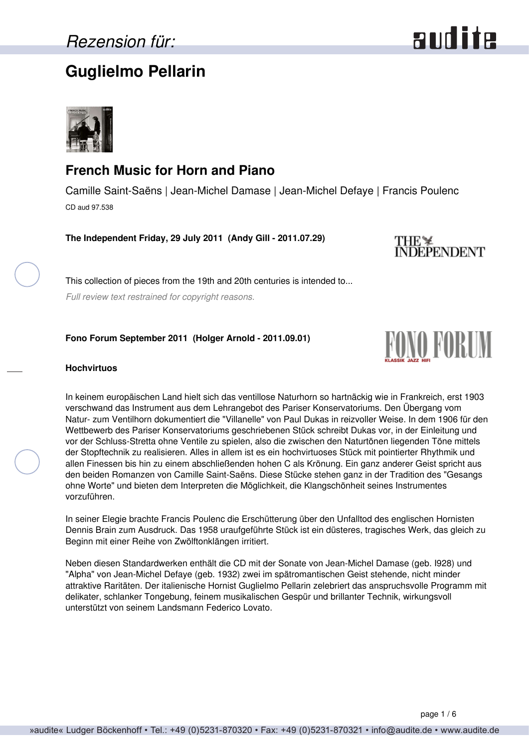## **Guglielmo Pellarin**



### **French Music for Horn and Piano**

Camille Saint-Saëns | Jean-Michel Damase | Jean-Michel Defaye | Francis Poulenc CD aud 97.538

**The Independent Friday, 29 July 2011 (Andy Gill - 2011.07.29)**

THE ¥<br>INDEPENDENT

This collection of pieces from the 19th and 20th centuries is intended to...

*Full review text restrained for copyright reasons.*

### **Fono Forum September 2011 (Holger Arnold - 2011.09.01)**



#### **Hochvirtuos**

In keinem europäischen Land hielt sich das ventillose Naturhorn so hartnäckig wie in Frankreich, erst 1903 verschwand das Instrument aus dem Lehrangebot des Pariser Konservatoriums. Den Übergang vom Natur- zum Ventilhorn dokumentiert die "Villanelle" von Paul Dukas in reizvoller Weise. In dem 1906 für den Wettbewerb des Pariser Konservatoriums geschriebenen Stück schreibt Dukas vor, in der Einleitung und vor der Schluss-Stretta ohne Ventile zu spielen, also die zwischen den Naturtönen liegenden Töne mittels der Stopftechnik zu realisieren. Alles in allem ist es ein hochvirtuoses Stück mit pointierter Rhythmik und allen Finessen bis hin zu einem abschließenden hohen C als Krönung. Ein ganz anderer Geist spricht aus den beiden Romanzen von Camille Saint-Saëns. Diese Stücke stehen ganz in der Tradition des "Gesangs ohne Worte" und bieten dem Interpreten die Möglichkeit, die Klangschönheit seines Instrumentes vorzuführen.

In seiner Elegie brachte Francis Poulenc die Erschütterung über den Unfalltod des englischen Hornisten Dennis Brain zum Ausdruck. Das 1958 uraufgeführte Stück ist ein düsteres, tragisches Werk, das gleich zu Beginn mit einer Reihe von Zwölftonklängen irritiert.

Neben diesen Standardwerken enthält die CD mit der Sonate von Jean-Michel Damase (geb. I928) und "Alpha" von Jean-Michel Defaye (geb. 1932) zwei im spätromantischen Geist stehende, nicht minder attraktive Raritäten. Der italienische Hornist Guglielmo Pellarin zelebriert das anspruchsvolle Programm mit delikater, schlanker Tongebung, feinem musikalischen Gespür und brillanter Technik, wirkungsvoll unterstützt von seinem Landsmann Federico Lovato.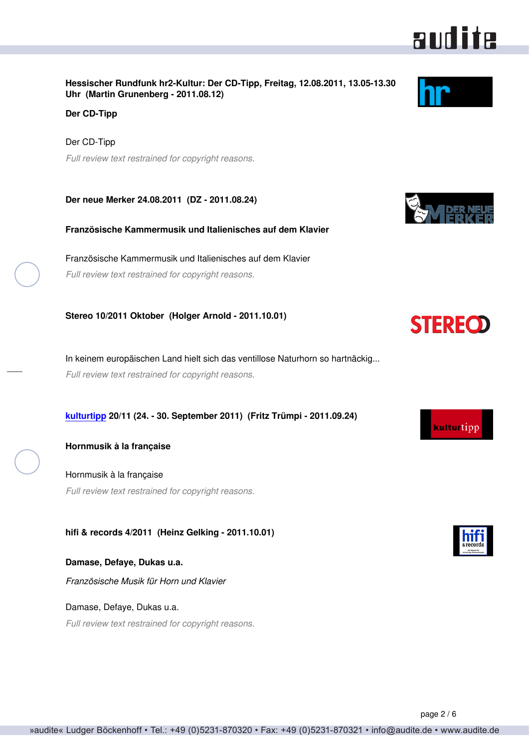**Hessischer Rundfunk hr2-Kultur: Der CD-Tipp, Freitag, 12.08.2011, 13.05-13.30 Uhr (Martin Grunenberg - 2011.08.12)**

**Der CD-Tipp**

Der CD-Tipp *Full review text restrained for copyright reasons.*

**Der neue Merker 24.08.2011 (DZ - 2011.08.24)**

**Französische Kammermusik und Italienisches auf dem Klavier**

Französische Kammermusik und Italienisches auf dem Klavier *Full review text restrained for copyright reasons.*

**Stereo 10/2011 Oktober (Holger Arnold - 2011.10.01)**

In keinem europäischen Land hielt sich das ventillose Naturhorn so hartnäckig... *Full review text restrained for copyright reasons.*

**[kulturtipp](http://www.kultur-tipp.ch) 20/11 (24. - 30. September 2011) (Fritz Trümpi - 2011.09.24)**

Hornmusik à la française *Full review text restrained for copyright reasons.*

**hifi & records 4/2011 (Heinz Gelking - 2011.10.01)**

**Damase, Defaye, Dukas u.a.** *Französische Musik für Horn und Klavier*

Damase, Defaye, Dukas u.a. *Full review text restrained for copyright reasons.*

audite



**STEREOD** 





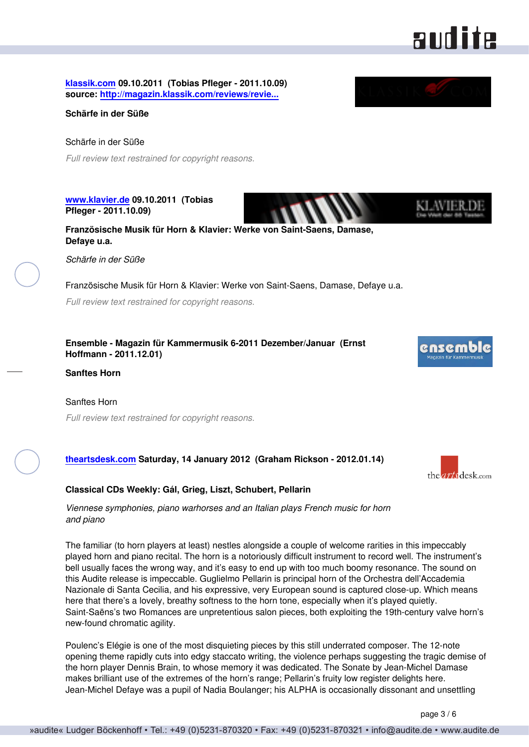

**[klassik.com](http://www.klassik.com) 09.10.2011 (Tobias Pfleger - 2011.10.09) source: [http://magazin.klassik.com/reviews/revie...](http://magazin.klassik.com/reviews/reviews.cfm?TASK=REVIEW&RECID=20831&REID=12828)**

**Schärfe in der Süße**

Schärfe in der Süße *Full review text restrained for copyright reasons.*

**[www.klavier.de](http://www.klavier.de) 09.10.2011 (Tobias Pfleger - 2011.10.09)**

**Französische Musik für Horn & Klavier: Werke von Saint-Saens, Damase, Defaye u.a.**

*Schärfe in der Süße*

Französische Musik für Horn & Klavier: Werke von Saint-Saens, Damase, Defaye u.a.

*Full review text restrained for copyright reasons.*

**Ensemble - Magazin für Kammermusik 6-2011 Dezember/Januar (Ernst Hoffmann - 2011.12.01)**

**Sanftes Horn**

Sanftes Horn *Full review text restrained for copyright reasons.*

#### **[theartsdesk.com](http://www.theartsdesk.com) Saturday, 14 January 2012 (Graham Rickson - 2012.01.14)**

#### **Classical CDs Weekly: Gál, Grieg, Liszt, Schubert, Pellarin**

*Viennese symphonies, piano warhorses and an Italian plays French music for horn and piano*

The familiar (to horn players at least) nestles alongside a couple of welcome rarities in this impeccably played horn and piano recital. The horn is a notoriously difficult instrument to record well. The instrument's bell usually faces the wrong way, and it's easy to end up with too much boomy resonance. The sound on this Audite release is impeccable. Guglielmo Pellarin is principal horn of the Orchestra dell'Accademia Nazionale di Santa Cecilia, and his expressive, very European sound is captured close-up. Which means here that there's a lovely, breathy softness to the horn tone, especially when it's played quietly. Saint-Saëns's two Romances are unpretentious salon pieces, both exploiting the 19th-century valve horn's new-found chromatic agility.

Poulenc's Elégie is one of the most disquieting pieces by this still underrated composer. The 12-note opening theme rapidly cuts into edgy staccato writing, the violence perhaps suggesting the tragic demise of the horn player Dennis Brain, to whose memory it was dedicated. The Sonate by Jean-Michel Damase makes brilliant use of the extremes of the horn's range; Pellarin's fruity low register delights here. Jean-Michel Defaye was a pupil of Nadia Boulanger; his ALPHA is occasionally dissonant and unsettling

page 3 / 6



the *arts* desk.com

ensemb

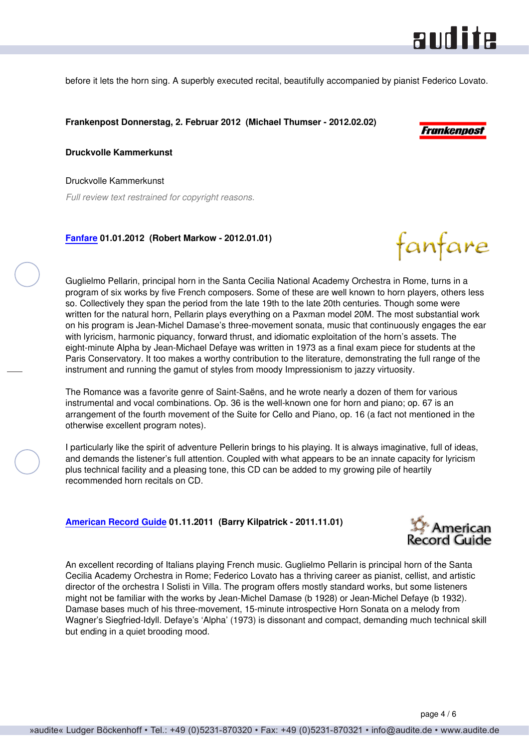

before it lets the horn sing. A superbly executed recital, beautifully accompanied by pianist Federico Lovato.

**Frankenpost Donnerstag, 2. Februar 2012 (Michael Thumser - 2012.02.02)**



fanfare

**Druckvolle Kammerkunst**

Druckvolle Kammerkunst

*Full review text restrained for copyright reasons.*

#### **[Fanfare](http://www.fanfaremag.com/) 01.01.2012 (Robert Markow - 2012.01.01)**

Guglielmo Pellarin, principal horn in the Santa Cecilia National Academy Orchestra in Rome, turns in a program of six works by five French composers. Some of these are well known to horn players, others less so. Collectively they span the period from the late 19th to the late 20th centuries. Though some were written for the natural horn, Pellarin plays everything on a Paxman model 20M. The most substantial work on his program is Jean-Michel Damase's three-movement sonata, music that continuously engages the ear with lyricism, harmonic piquancy, forward thrust, and idiomatic exploitation of the horn's assets. The eight-minute Alpha by Jean-Michael Defaye was written in 1973 as a final exam piece for students at the Paris Conservatory. It too makes a worthy contribution to the literature, demonstrating the full range of the instrument and running the gamut of styles from moody Impressionism to jazzy virtuosity.

The Romance was a favorite genre of Saint-Saëns, and he wrote nearly a dozen of them for various instrumental and vocal combinations. Op. 36 is the well-known one for horn and piano; op. 67 is an arrangement of the fourth movement of the Suite for Cello and Piano, op. 16 (a fact not mentioned in the otherwise excellent program notes).

I particularly like the spirit of adventure Pellerin brings to his playing. It is always imaginative, full of ideas, and demands the listener's full attention. Coupled with what appears to be an innate capacity for lyricism plus technical facility and a pleasing tone, this CD can be added to my growing pile of heartily recommended horn recitals on CD.

#### **[American Record Guide](http://www.americanrecordguide.com) 01.11.2011 (Barry Kilpatrick - 2011.11.01)**



An excellent recording of Italians playing French music. Guglielmo Pellarin is principal horn of the Santa Cecilia Academy Orchestra in Rome; Federico Lovato has a thriving career as pianist, cellist, and artistic director of the orchestra I Solisti in Villa. The program offers mostly standard works, but some listeners might not be familiar with the works by Jean-Michel Damase (b 1928) or Jean-Michel Defaye (b 1932). Damase bases much of his three-movement, 15-minute introspective Horn Sonata on a melody from Wagner's Siegfried-Idyll. Defaye's 'Alpha' (1973) is dissonant and compact, demanding much technical skill but ending in a quiet brooding mood.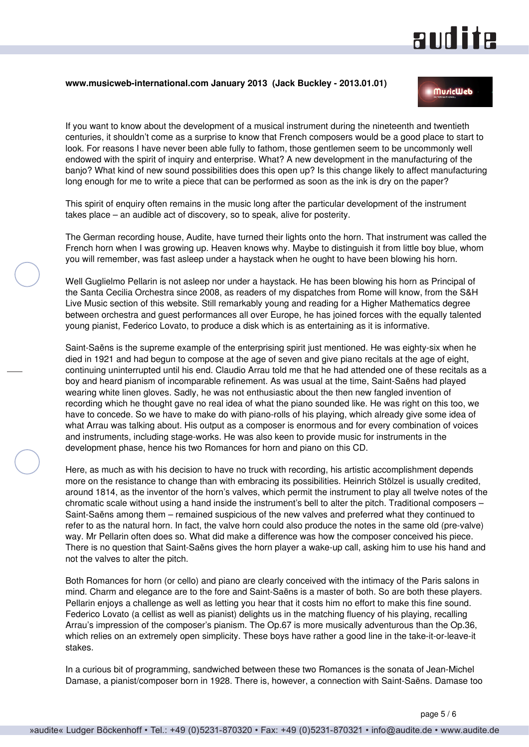# **andite**

#### **www.musicweb-international.com January 2013 (Jack Buckley - 2013.01.01)**

#### **MuricWeb**

If you want to know about the development of a musical instrument during the nineteenth and twentieth centuries, it shouldn't come as a surprise to know that French composers would be a good place to start to look. For reasons I have never been able fully to fathom, those gentlemen seem to be uncommonly well endowed with the spirit of inquiry and enterprise. What? A new development in the manufacturing of the banjo? What kind of new sound possibilities does this open up? Is this change likely to affect manufacturing long enough for me to write a piece that can be performed as soon as the ink is dry on the paper?

This spirit of enquiry often remains in the music long after the particular development of the instrument takes place – an audible act of discovery, so to speak, alive for posterity.

The German recording house, Audite, have turned their lights onto the horn. That instrument was called the French horn when I was growing up. Heaven knows why. Maybe to distinguish it from little boy blue, whom you will remember, was fast asleep under a haystack when he ought to have been blowing his horn.

Well Guglielmo Pellarin is not asleep nor under a haystack. He has been blowing his horn as Principal of the Santa Cecilia Orchestra since 2008, as readers of my dispatches from Rome will know, from the S&H Live Music section of this website. Still remarkably young and reading for a Higher Mathematics degree between orchestra and guest performances all over Europe, he has joined forces with the equally talented young pianist, Federico Lovato, to produce a disk which is as entertaining as it is informative.

Saint-Saëns is the supreme example of the enterprising spirit just mentioned. He was eighty-six when he died in 1921 and had begun to compose at the age of seven and give piano recitals at the age of eight, continuing uninterrupted until his end. Claudio Arrau told me that he had attended one of these recitals as a boy and heard pianism of incomparable refinement. As was usual at the time, Saint-Saëns had played wearing white linen gloves. Sadly, he was not enthusiastic about the then new fangled invention of recording which he thought gave no real idea of what the piano sounded like. He was right on this too, we have to concede. So we have to make do with piano-rolls of his playing, which already give some idea of what Arrau was talking about. His output as a composer is enormous and for every combination of voices and instruments, including stage-works. He was also keen to provide music for instruments in the development phase, hence his two Romances for horn and piano on this CD.

Here, as much as with his decision to have no truck with recording, his artistic accomplishment depends more on the resistance to change than with embracing its possibilities. Heinrich Stölzel is usually credited, around 1814, as the inventor of the horn's valves, which permit the instrument to play all twelve notes of the chromatic scale without using a hand inside the instrument's bell to alter the pitch. Traditional composers – Saint-Saëns among them – remained suspicious of the new valves and preferred what they continued to refer to as the natural horn. In fact, the valve horn could also produce the notes in the same old (pre-valve) way. Mr Pellarin often does so. What did make a difference was how the composer conceived his piece. There is no question that Saint-Saëns gives the horn player a wake-up call, asking him to use his hand and not the valves to alter the pitch.

Both Romances for horn (or cello) and piano are clearly conceived with the intimacy of the Paris salons in mind. Charm and elegance are to the fore and Saint-Saëns is a master of both. So are both these players. Pellarin enjoys a challenge as well as letting you hear that it costs him no effort to make this fine sound. Federico Lovato (a cellist as well as pianist) delights us in the matching fluency of his playing, recalling Arrau's impression of the composer's pianism. The Op.67 is more musically adventurous than the Op.36, which relies on an extremely open simplicity. These boys have rather a good line in the take-it-or-leave-it stakes.

In a curious bit of programming, sandwiched between these two Romances is the sonata of Jean-Michel Damase, a pianist/composer born in 1928. There is, however, a connection with Saint-Saëns. Damase too